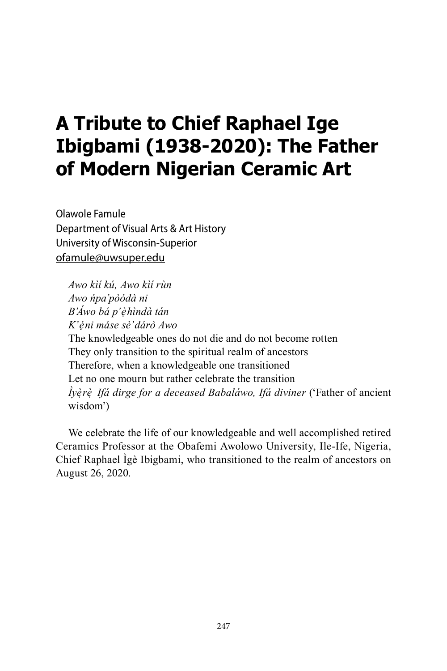# **A Tribute to Chief Raphael Ige Ibigbami (1938-2020): The Father of Modern Nigerian Ceramic Art**

Olawole Famule Department of Visual Arts & Art History University of Wisconsin-Superior ofamule@uwsuper.edu

*Awo kìí kú, Awo kìí rùn Awo ńpa'pòódà ni B'Áwo bá p'èhìnd ̣ à tán K'éni máse s ̣ è'dárò Awo* The knowledgeable ones do not die and do not become rotten They only transition to the spiritual realm of ancestors Therefore, when a knowledgeable one transitioned Let no one mourn but rather celebrate the transition *Ìyè ̣rè ̣ Ifá dirge for a deceased Babaláwo, Ifá diviner* ('Father of ancient wisdom')

We celebrate the life of our knowledgeable and well accomplished retired Ceramics Professor at the Obafemi Awolowo University, Ile-Ife, Nigeria, Chief Raphael Ìgè Ibigbami, who transitioned to the realm of ancestors on August 26, 2020.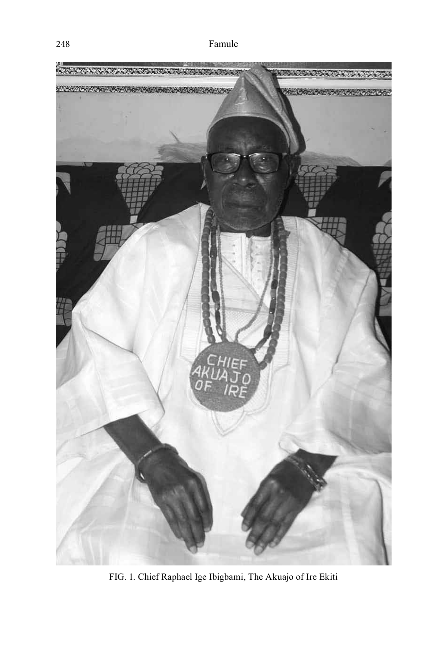

FIG. 1. Chief Raphael Ige Ibigbami, The Akuajo of Ire Ekiti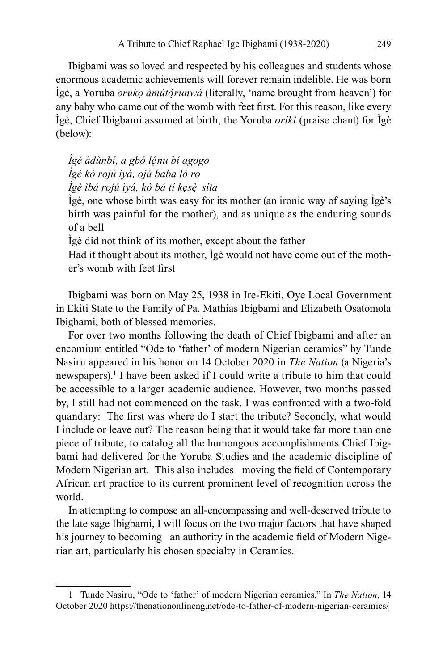Ibigbami was so loved and respected by his colleagues and students whose enormous academic achievements will forever remain indelible. He was born Ìgè, a Yoruba *orúkọ àmútò ̣runwá* (literally, 'name brought from heaven') for any baby who came out of the womb with feet first. For this reason, like every Ìgè, Chief Ibigbami assumed at birth, the Yoruba *oríkì* (praise chant) for Ìgè (below):

### *Ìgè àdùnbí, a gbó lénu b ̣ í agogo Ìgè kò rojú ìyá, ojú baba ló ro Ìgè ìbá rojú ìyá, kò bá tí kẹsè ̣ síta*

Ìgè, one whose birth was easy for its mother (an ironic way of saying Ìgè's birth was painful for the mother), and as unique as the enduring sounds of a bell

Ìgè did not think of its mother, except about the father

Had it thought about its mother, Ìgè would not have come out of the mother's womb with feet first

Ibigbami was born on May 25, 1938 in Ire-Ekiti, Oye Local Government in Ekiti State to the Family of Pa. Mathias Ibigbami and Elizabeth Osatomola Ibigbami, both of blessed memories.

For over two months following the death of Chief Ibigbami and after an encomium entitled "Ode to 'father' of modern Nigerian ceramics" by Tunde Nasiru appeared in his honor on 14 October 2020 in *The Nation* (a Nigeria's newspapers).<sup>1</sup> I have been asked if I could write a tribute to him that could be accessible to a larger academic audience. However, two months passed by, I still had not commenced on the task. I was confronted with a two-fold quandary: The first was where do I start the tribute? Secondly, what would I include or leave out? The reason being that it would take far more than one piece of tribute, to catalog all the humongous accomplishments Chief Ibigbami had delivered for the Yoruba Studies and the academic discipline of Modern Nigerian art. This also includes moving the field of Contemporary African art practice to its current prominent level of recognition across the world.

In attempting to compose an all-encompassing and well-deserved tribute to the late sage Ibigbami, I will focus on the two major factors that have shaped his journey to becoming an authority in the academic field of Modern Nigerian art, particularly his chosen specialty in Ceramics.

<sup>1</sup> Tunde Nasiru, "Ode to 'father' of modern Nigerian ceramics," In *The Nation*, 14 October 2020 https://thenationonlineng.net/ode-to-father-of-modern-nigerian-ceramics/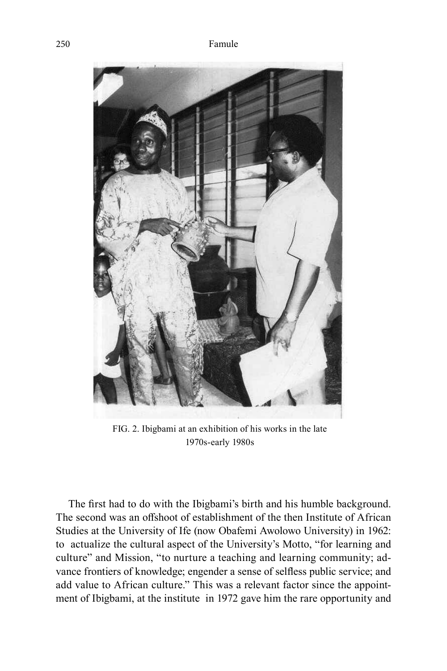

FIG. 2. Ibigbami at an exhibition of his works in the late 1970s-early 1980s

The first had to do with the Ibigbami's birth and his humble background. The second was an offshoot of establishment of the then Institute of African Studies at the University of Ife (now Obafemi Awolowo University) in 1962: to actualize the cultural aspect of the University's Motto, "for learning and culture" and Mission, "to nurture a teaching and learning community; advance frontiers of knowledge; engender a sense of selfless public service; and add value to African culture." This was a relevant factor since the appointment of Ibigbami, at the institute in 1972 gave him the rare opportunity and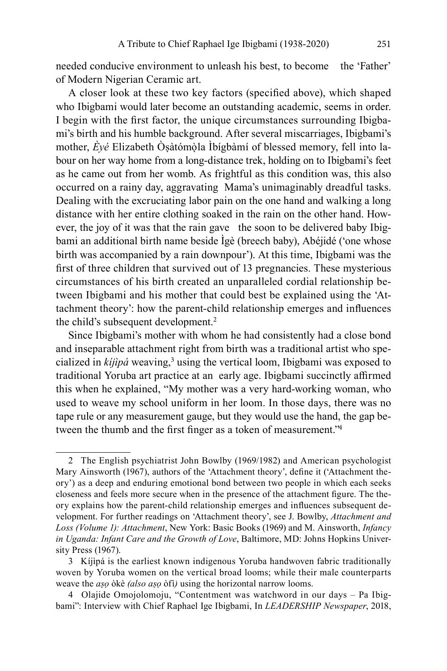needed conducive environment to unleash his best, to become the 'Father' of Modern Nigerian Ceramic art.

A closer look at these two key factors (specified above), which shaped who Ibigbami would later become an outstanding academic, seems in order. I begin with the first factor, the unique circumstances surrounding Ibigbami's birth and his humble background. After several miscarriages, Ibigbami's mother,  $\hat{E}$ yé Elizabeth Òṣàtómòla Ìbígbàmí of blessed memory, fell into labour on her way home from a long-distance trek, holding on to Ibigbami's feet as he came out from her womb. As frightful as this condition was, this also occurred on a rainy day, aggravating Mama's unimaginably dreadful tasks. Dealing with the excruciating labor pain on the one hand and walking a long distance with her entire clothing soaked in the rain on the other hand. However, the joy of it was that the rain gave the soon to be delivered baby Ibigbami an additional birth name beside Ìgè (breech baby), Abéjidé ('one whose birth was accompanied by a rain downpour'). At this time, Ibigbami was the first of three children that survived out of 13 pregnancies. These mysterious circumstances of his birth created an unparalleled cordial relationship between Ibigbami and his mother that could best be explained using the 'Attachment theory': how the parent-child relationship emerges and influences the child's subsequent development.<sup>2</sup>

Since Ibigbami's mother with whom he had consistently had a close bond and inseparable attachment right from birth was a traditional artist who specialized in *kijipá* weaving,<sup>3</sup> using the vertical loom, Ibigbami was exposed to traditional Yoruba art practice at an early age. Ibigbami succinctly affirmed this when he explained, "My mother was a very hard-working woman, who used to weave my school uniform in her loom. In those days, there was no tape rule or any measurement gauge, but they would use the hand, the gap between the thumb and the first finger as a token of measurement."<sup>4</sup>

<sup>2</sup> The English psychiatrist John Bowlby (1969/1982) and American psychologist Mary Ainsworth (1967), authors of the 'Attachment theory', define it ('Attachment theory') as a deep and enduring emotional bond between two people in which each seeks closeness and feels more secure when in the presence of the attachment figure. The theory explains how the parent-child relationship emerges and influences subsequent development. For further readings on 'Attachment theory', see J. Bowlby, *Attachment and Loss (Volume 1): Attachment*, New York: Basic Books (1969) and M. Ainsworth, *Infancy in Uganda: Infant Care and the Growth of Love*, Baltimore, MD: Johns Hopkins University Press (1967).

<sup>3</sup> Kíjìpá is the earliest known indigenous Yoruba handwoven fabric traditionally woven by Yoruba women on the vertical broad looms; while their male counterparts weave the *aṣọ* òkè *(also aṣọ* òfì*)* using the horizontal narrow looms.

<sup>4</sup> Olajide Omojolomoju, "Contentment was watchword in our days – Pa Ibigbami": Interview with Chief Raphael Ige Ibigbami, In *LEADERSHIP Newspaper*, 2018,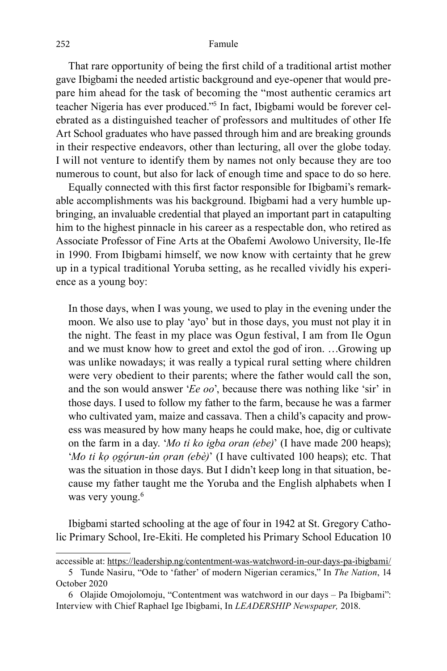That rare opportunity of being the first child of a traditional artist mother gave Ibigbami the needed artistic background and eye-opener that would prepare him ahead for the task of becoming the "most authentic ceramics art teacher Nigeria has ever produced."<sup>5</sup> In fact, Ibigbami would be forever celebrated as a distinguished teacher of professors and multitudes of other Ife Art School graduates who have passed through him and are breaking grounds in their respective endeavors, other than lecturing, all over the globe today. I will not venture to identify them by names not only because they are too numerous to count, but also for lack of enough time and space to do so here.

Equally connected with this first factor responsible for Ibigbami's remarkable accomplishments was his background. Ibigbami had a very humble upbringing, an invaluable credential that played an important part in catapulting him to the highest pinnacle in his career as a respectable don, who retired as Associate Professor of Fine Arts at the Obafemi Awolowo University, Ile-Ife in 1990. From Ibigbami himself, we now know with certainty that he grew up in a typical traditional Yoruba setting, as he recalled vividly his experience as a young boy:

In those days, when I was young, we used to play in the evening under the moon. We also use to play 'ayo' but in those days, you must not play it in the night. The feast in my place was Ogun festival, I am from Ile Ogun and we must know how to greet and extol the god of iron. …Growing up was unlike nowadays; it was really a typical rural setting where children were very obedient to their parents; where the father would call the son, and the son would answer '*Ee oo*', because there was nothing like 'sir' in those days. I used to follow my father to the farm, because he was a farmer who cultivated yam, maize and cassava. Then a child's capacity and prowess was measured by how many heaps he could make, hoe, dig or cultivate on the farm in a day. '*Mo ti ko igba oran (ebe)*' (I have made 200 heaps); '*Mo ti kọ ọgọ́ run-ún ọran (ebè)*' (I have cultivated 100 heaps); etc. That was the situation in those days. But I didn't keep long in that situation, because my father taught me the Yoruba and the English alphabets when I was very young.<sup>6</sup>

Ibigbami started schooling at the age of four in 1942 at St. Gregory Catholic Primary School, Ire-Ekiti. He completed his Primary School Education 10

accessible at: https://leadership.ng/contentment-was-watchword-in-our-days-pa-ibigbami/ 5 Tunde Nasiru, "Ode to 'father' of modern Nigerian ceramics," In *The Nation*, 14

October 2020

<sup>6</sup> Olajide Omojolomoju, "Contentment was watchword in our days – Pa Ibigbami": Interview with Chief Raphael Ige Ibigbami, In *LEADERSHIP Newspaper,* 2018.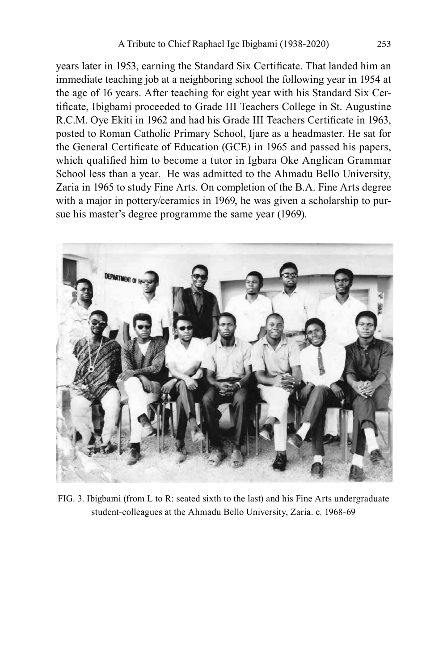years later in 1953, earning the Standard Six Certificate. That landed him an immediate teaching job at a neighboring school the following year in 1954 at the age of 16 years. After teaching for eight year with his Standard Six Certificate, Ibigbami proceeded to Grade III Teachers College in St. Augustine R.C.M. Oye Ekiti in 1962 and had his Grade III Teachers Certificate in 1963, posted to Roman Catholic Primary School, Ijare as a headmaster. He sat for the General Certificate of Education (GCE) in 1965 and passed his papers, which qualified him to become a tutor in Igbara Oke Anglican Grammar School less than a year. He was admitted to the Ahmadu Bello University, Zaria in 1965 to study Fine Arts. On completion of the B.A. Fine Arts degree with a major in pottery/ceramics in 1969, he was given a scholarship to pursue his master's degree programme the same year (1969).



FIG. 3. Ibigbami (from L to R: seated sixth to the last) and his Fine Arts undergraduate student-colleagues at the Ahmadu Bello University, Zaria. c. 1968-69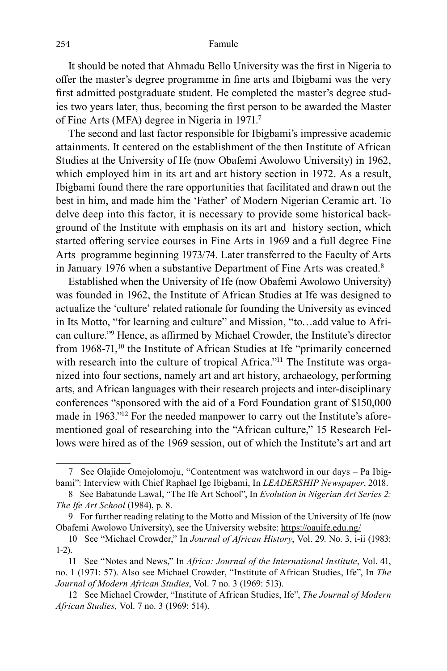#### 254 Famule

It should be noted that Ahmadu Bello University was the first in Nigeria to offer the master's degree programme in fine arts and Ibigbami was the very first admitted postgraduate student. He completed the master's degree studies two years later, thus, becoming the first person to be awarded the Master of Fine Arts (MFA) degree in Nigeria in 1971.<sup>7</sup>

The second and last factor responsible for Ibigbami's impressive academic attainments. It centered on the establishment of the then Institute of African Studies at the University of Ife (now Obafemi Awolowo University) in 1962, which employed him in its art and art history section in 1972. As a result, Ibigbami found there the rare opportunities that facilitated and drawn out the best in him, and made him the 'Father' of Modern Nigerian Ceramic art. To delve deep into this factor, it is necessary to provide some historical background of the Institute with emphasis on its art and history section, which started offering service courses in Fine Arts in 1969 and a full degree Fine Arts programme beginning 1973/74. Later transferred to the Faculty of Arts in January 1976 when a substantive Department of Fine Arts was created.<sup>8</sup>

Established when the University of Ife (now Obafemi Awolowo University) was founded in 1962, the Institute of African Studies at Ife was designed to actualize the 'culture' related rationale for founding the University as evinced in Its Motto, "for learning and culture" and Mission, "to…add value to African culture."<sup>9</sup> Hence, as affirmed by Michael Crowder, the Institute's director from 1968-71,<sup>10</sup> the Institute of African Studies at Ife "primarily concerned with research into the culture of tropical Africa."<sup>11</sup> The Institute was organized into four sections, namely art and art history, archaeology, performing arts, and African languages with their research projects and inter-disciplinary conferences "sponsored with the aid of a Ford Foundation grant of \$150,000 made in 1963."12 For the needed manpower to carry out the Institute's aforementioned goal of researching into the "African culture," 15 Research Fellows were hired as of the 1969 session, out of which the Institute's art and art

<sup>7</sup> See Olajide Omojolomoju, "Contentment was watchword in our days – Pa Ibigbami": Interview with Chief Raphael Ige Ibigbami, In *LEADERSHIP Newspaper*, 2018.

<sup>8</sup> See Babatunde Lawal, "The Ife Art School", In *Evolution in Nigerian Art Series 2: The Ife Art School* (1984), p. 8.

<sup>9</sup> For further reading relating to the Motto and Mission of the University of Ife (now Obafemi Awolowo University), see the University website: https://oauife.edu.ng/

<sup>10</sup> See "Michael Crowder," In *Journal of African History*, Vol. 29. No. 3, i-ii (1983: 1-2).

<sup>11</sup> See "Notes and News," In *Africa: Journal of the International Institute*, Vol. 41, no. 1 (1971: 57). Also see Michael Crowder, "Institute of African Studies, Ife", In *The Journal of Modern African Studies*, Vol. 7 no. 3 (1969: 513).

<sup>12</sup> See Michael Crowder, "Institute of African Studies, Ife", *The Journal of Modern African Studies,* Vol. 7 no. 3 (1969: 514).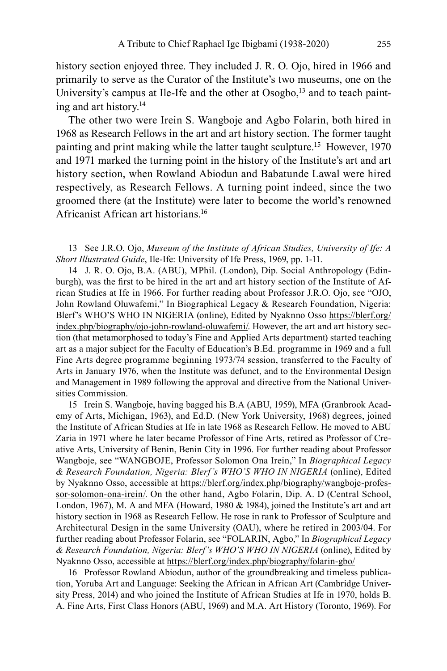history section enjoyed three. They included J. R. O. Ojo, hired in 1966 and primarily to serve as the Curator of the Institute's two museums, one on the University's campus at Ile-Ife and the other at  $Osogbo$ ,<sup>13</sup> and to teach painting and art history.<sup>14</sup>

The other two were Irein S. Wangboje and Agbo Folarin, both hired in 1968 as Research Fellows in the art and art history section. The former taught painting and print making while the latter taught sculpture.<sup>15</sup> However, 1970 and 1971 marked the turning point in the history of the Institute's art and art history section, when Rowland Abiodun and Babatunde Lawal were hired respectively, as Research Fellows. A turning point indeed, since the two groomed there (at the Institute) were later to become the world's renowned Africanist African art historians.<sup>16</sup>

15 Irein S. Wangboje, having bagged his B.A (ABU, 1959), MFA (Granbrook Academy of Arts, Michigan, 1963), and Ed.D. (New York University, 1968) degrees, joined the Institute of African Studies at Ife in late 1968 as Research Fellow. He moved to ABU Zaria in 1971 where he later became Professor of Fine Arts, retired as Professor of Creative Arts, University of Benin, Benin City in 1996. For further reading about Professor Wangboje, see "WANGBOJE, Professor Solomon Ona Irein," In *Biographical Legacy & Research Foundation, Nigeria: Blerf's WHO'S WHO IN NIGERIA* (online), Edited by Nyaknno Osso, accessible at https://blerf.org/index.php/biography/wangboje-professor-solomon-ona-irein/. On the other hand, Agbo Folarin, Dip. A. D (Central School, London, 1967), M. A and MFA (Howard, 1980 & 1984), joined the Institute's art and art history section in 1968 as Research Fellow. He rose in rank to Professor of Sculpture and Architectural Design in the same University (OAU), where he retired in 2003/04. For further reading about Professor Folarin, see "FOLARIN, Agbo," In *Biographical Legacy & Research Foundation, Nigeria: Blerf's WHO'S WHO IN NIGERIA* (online), Edited by Nyaknno Osso, accessible at https://blerf.org/index.php/biography/folarin-gbo/

16 Professor Rowland Abiodun, author of the groundbreaking and timeless publication, Yoruba Art and Language: Seeking the African in African Art (Cambridge University Press, 2014) and who joined the Institute of African Studies at Ife in 1970, holds B. A. Fine Arts, First Class Honors (ABU, 1969) and M.A. Art History (Toronto, 1969). For

<sup>13</sup> See J.R.O. Ojo, *Museum of the Institute of African Studies, University of Ife: A Short Illustrated Guide*, Ile-Ife: University of Ife Press, 1969, pp. 1-11.

<sup>14</sup> J. R. O. Ojo, B.A. (ABU), MPhil. (London), Dip. Social Anthropology (Edinburgh), was the first to be hired in the art and art history section of the Institute of African Studies at Ife in 1966. For further reading about Professor J.R.O. Ojo, see "OJO, John Rowland Oluwafemi," In Biographical Legacy & Research Foundation, Nigeria: Blerf's WHO'S WHO IN NIGERIA (online), Edited by Nyaknno Osso https://blerf.org/ index.php/biography/ojo-john-rowland-oluwafemi/. However, the art and art history section (that metamorphosed to today's Fine and Applied Arts department) started teaching art as a major subject for the Faculty of Education's B.Ed. programme in 1969 and a full Fine Arts degree programme beginning 1973/74 session, transferred to the Faculty of Arts in January 1976, when the Institute was defunct, and to the Environmental Design and Management in 1989 following the approval and directive from the National Universities Commission.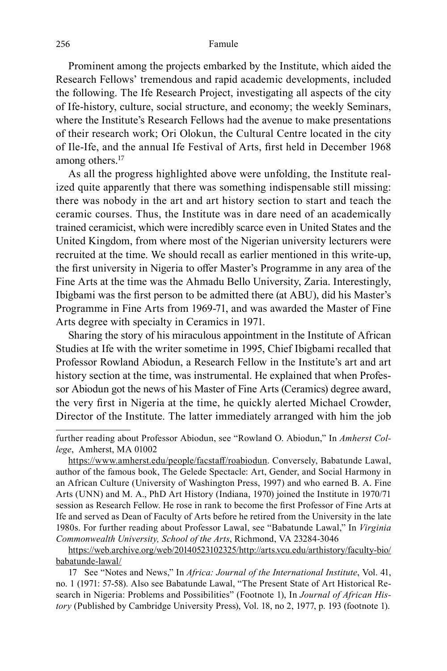#### 256 Famule

Prominent among the projects embarked by the Institute, which aided the Research Fellows' tremendous and rapid academic developments, included the following. The Ife Research Project, investigating all aspects of the city of Ife-history, culture, social structure, and economy; the weekly Seminars, where the Institute's Research Fellows had the avenue to make presentations of their research work; Ori Olokun, the Cultural Centre located in the city of Ile-Ife, and the annual Ife Festival of Arts, first held in December 1968 among others.<sup>17</sup>

As all the progress highlighted above were unfolding, the Institute realized quite apparently that there was something indispensable still missing: there was nobody in the art and art history section to start and teach the ceramic courses. Thus, the Institute was in dare need of an academically trained ceramicist, which were incredibly scarce even in United States and the United Kingdom, from where most of the Nigerian university lecturers were recruited at the time. We should recall as earlier mentioned in this write-up, the first university in Nigeria to offer Master's Programme in any area of the Fine Arts at the time was the Ahmadu Bello University, Zaria. Interestingly, Ibigbami was the first person to be admitted there (at ABU), did his Master's Programme in Fine Arts from 1969-71, and was awarded the Master of Fine Arts degree with specialty in Ceramics in 1971.

Sharing the story of his miraculous appointment in the Institute of African Studies at Ife with the writer sometime in 1995, Chief Ibigbami recalled that Professor Rowland Abiodun, a Research Fellow in the Institute's art and art history section at the time, was instrumental. He explained that when Professor Abiodun got the news of his Master of Fine Arts (Ceramics) degree award, the very first in Nigeria at the time, he quickly alerted Michael Crowder, Director of the Institute. The latter immediately arranged with him the job

further reading about Professor Abiodun, see "Rowland O. Abiodun," In *Amherst College*, Amherst, MA 01002

https://www.amherst.edu/people/facstaff/roabiodun. Conversely, Babatunde Lawal, author of the famous book, The Gelede Spectacle: Art, Gender, and Social Harmony in an African Culture (University of Washington Press, 1997) and who earned B. A. Fine Arts (UNN) and M. A., PhD Art History (Indiana, 1970) joined the Institute in 1970/71 session as Research Fellow. He rose in rank to become the first Professor of Fine Arts at Ife and served as Dean of Faculty of Arts before he retired from the University in the late 1980s. For further reading about Professor Lawal, see "Babatunde Lawal," In *Virginia Commonwealth University, School of the Arts*, Richmond, VA 23284-3046

https://web.archive.org/web/20140523102325/http://arts.vcu.edu/arthistory/faculty-bio/ babatunde-lawal/

<sup>17</sup> See "Notes and News," In *Africa: Journal of the International Institute*, Vol. 41, no. 1 (1971: 57-58). Also see Babatunde Lawal, "The Present State of Art Historical Research in Nigeria: Problems and Possibilities" (Footnote 1), In *Journal of African History* (Published by Cambridge University Press), Vol. 18, no 2, 1977, p. 193 (footnote 1).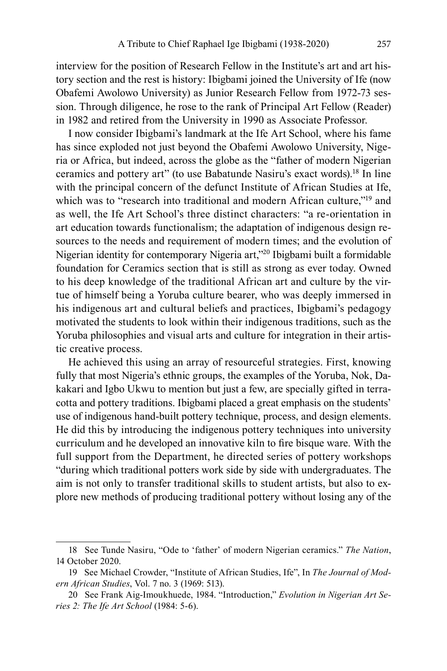interview for the position of Research Fellow in the Institute's art and art history section and the rest is history: Ibigbami joined the University of Ife (now Obafemi Awolowo University) as Junior Research Fellow from 1972-73 session. Through diligence, he rose to the rank of Principal Art Fellow (Reader) in 1982 and retired from the University in 1990 as Associate Professor.

I now consider Ibigbami's landmark at the Ife Art School, where his fame has since exploded not just beyond the Obafemi Awolowo University, Nigeria or Africa, but indeed, across the globe as the "father of modern Nigerian ceramics and pottery art" (to use Babatunde Nasiru's exact words).<sup>18</sup> In line with the principal concern of the defunct Institute of African Studies at Ife, which was to "research into traditional and modern African culture,"<sup>19</sup> and as well, the Ife Art School's three distinct characters: "a re-orientation in art education towards functionalism; the adaptation of indigenous design resources to the needs and requirement of modern times; and the evolution of Nigerian identity for contemporary Nigeria art,"<sup>20</sup> Ibigbami built a formidable foundation for Ceramics section that is still as strong as ever today. Owned to his deep knowledge of the traditional African art and culture by the virtue of himself being a Yoruba culture bearer, who was deeply immersed in his indigenous art and cultural beliefs and practices, Ibigbami's pedagogy motivated the students to look within their indigenous traditions, such as the Yoruba philosophies and visual arts and culture for integration in their artistic creative process.

He achieved this using an array of resourceful strategies. First, knowing fully that most Nigeria's ethnic groups, the examples of the Yoruba, Nok, Dakakari and Igbo Ukwu to mention but just a few, are specially gifted in terracotta and pottery traditions. Ibigbami placed a great emphasis on the students' use of indigenous hand-built pottery technique, process, and design elements. He did this by introducing the indigenous pottery techniques into university curriculum and he developed an innovative kiln to fire bisque ware. With the full support from the Department, he directed series of pottery workshops "during which traditional potters work side by side with undergraduates. The aim is not only to transfer traditional skills to student artists, but also to explore new methods of producing traditional pottery without losing any of the

<sup>18</sup> See Tunde Nasiru, "Ode to 'father' of modern Nigerian ceramics." *The Nation*, 14 October 2020.

<sup>19</sup> See Michael Crowder, "Institute of African Studies, Ife", In *The Journal of Modern African Studies*, Vol. 7 no. 3 (1969: 513).

<sup>20</sup> See Frank Aig-Imoukhuede, 1984. "Introduction," *Evolution in Nigerian Art Series 2: The Ife Art School* (1984: 5-6).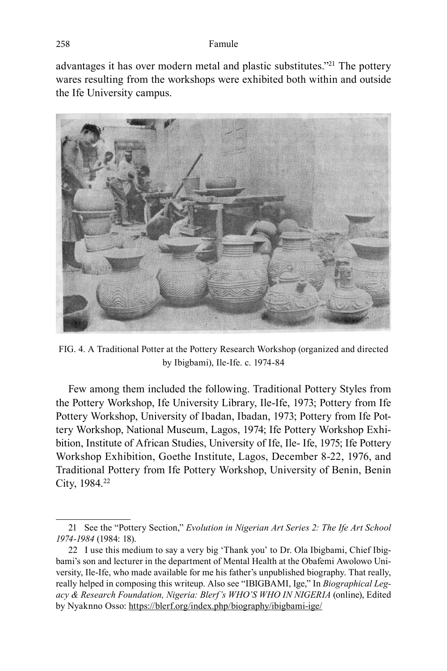#### 258 Famule

advantages it has over modern metal and plastic substitutes."<sup>21</sup> The pottery wares resulting from the workshops were exhibited both within and outside the Ife University campus.



FIG. 4. A Traditional Potter at the Pottery Research Workshop (organized and directed by Ibigbami), Ile-Ife. c. 1974-84

Few among them included the following. Traditional Pottery Styles from the Pottery Workshop, Ife University Library, Ile-Ife, 1973; Pottery from Ife Pottery Workshop, University of Ibadan, Ibadan, 1973; Pottery from Ife Pottery Workshop, National Museum, Lagos, 1974; Ife Pottery Workshop Exhibition, Institute of African Studies, University of Ife, Ile- Ife, 1975; Ife Pottery Workshop Exhibition, Goethe Institute, Lagos, December 8-22, 1976, and Traditional Pottery from Ife Pottery Workshop, University of Benin, Benin City, 1984.<sup>22</sup>

<sup>21</sup> See the "Pottery Section," *Evolution in Nigerian Art Series 2: The Ife Art School 1974-1984* (1984: 18).

<sup>22</sup> I use this medium to say a very big 'Thank you' to Dr. Ola Ibigbami, Chief Ibigbami's son and lecturer in the department of Mental Health at the Obafemi Awolowo University, Ile-Ife, who made available for me his father's unpublished biography. That really, really helped in composing this writeup. Also see "IBIGBAMI, Ige," In *Biographical Legacy & Research Foundation, Nigeria: Blerf's WHO'S WHO IN NIGERIA* (online), Edited by Nyaknno Osso: https://blerf.org/index.php/biography/ibigbami-ige/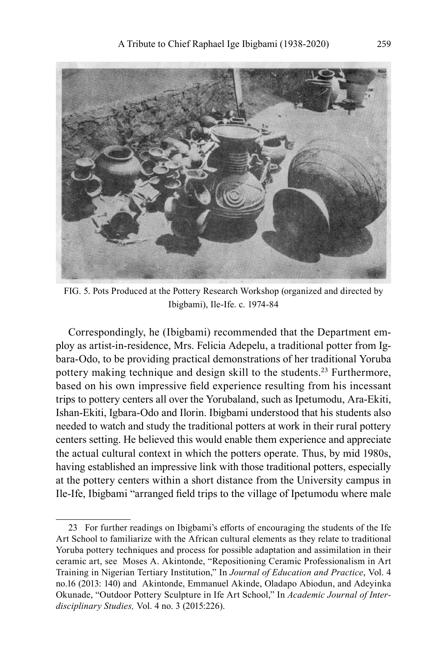![](_page_12_Picture_1.jpeg)

FIG. 5. Pots Produced at the Pottery Research Workshop (organized and directed by Ibigbami), Ile-Ife. c. 1974-84

Correspondingly, he (Ibigbami) recommended that the Department employ as artist-in-residence, Mrs. Felicia Adepelu, a traditional potter from Igbara-Odo, to be providing practical demonstrations of her traditional Yoruba pottery making technique and design skill to the students.<sup>23</sup> Furthermore, based on his own impressive field experience resulting from his incessant trips to pottery centers all over the Yorubaland, such as Ipetumodu, Ara-Ekiti, Ishan-Ekiti, Igbara-Odo and Ilorin. Ibigbami understood that his students also needed to watch and study the traditional potters at work in their rural pottery centers setting. He believed this would enable them experience and appreciate the actual cultural context in which the potters operate. Thus, by mid 1980s, having established an impressive link with those traditional potters, especially at the pottery centers within a short distance from the University campus in Ile-Ife, Ibigbami "arranged field trips to the village of Ipetumodu where male

<sup>23</sup> For further readings on Ibigbami's efforts of encouraging the students of the Ife Art School to familiarize with the African cultural elements as they relate to traditional Yoruba pottery techniques and process for possible adaptation and assimilation in their ceramic art, see Moses A. Akintonde, "Repositioning Ceramic Professionalism in Art Training in Nigerian Tertiary Institution," In *Journal of Education and Practice*, Vol. 4 no.16 (2013: 140) and Akintonde, Emmanuel Akinde, Oladapo Abiodun, and Adeyinka Okunade, "Outdoor Pottery Sculpture in Ife Art School," In *Academic Journal of Interdisciplinary Studies,* Vol. 4 no. 3 (2015:226).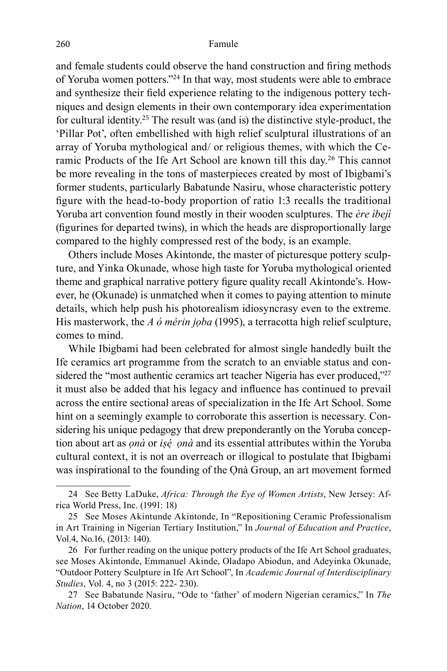and female students could observe the hand construction and firing methods of Yoruba women potters."<sup>24</sup> In that way, most students were able to embrace and synthesize their field experience relating to the indigenous pottery techniques and design elements in their own contemporary idea experimentation for cultural identity.<sup>25</sup> The result was (and is) the distinctive style-product, the 'Pillar Pot', often embellished with high relief sculptural illustrations of an array of Yoruba mythological and/ or religious themes, with which the Ceramic Products of the Ife Art School are known till this day.<sup>26</sup> This cannot be more revealing in the tons of masterpieces created by most of Ibigbami's former students, particularly Babatunde Nasiru, whose characteristic pottery figure with the head-to-body proportion of ratio 1:3 recalls the traditional Yoruba art convention found mostly in their wooden sculptures. The *ère ìbejì*  (figurines for departed twins), in which the heads are disproportionally large compared to the highly compressed rest of the body, is an example.

Others include Moses Akintonde, the master of picturesque pottery sculpture, and Yinka Okunade, whose high taste for Yoruba mythological oriented theme and graphical narrative pottery figure quality recall Akintonde's. However, he (Okunade) is unmatched when it comes to paying attention to minute details, which help push his photorealism idiosyncrasy even to the extreme. His masterwork, the *A ó mérin jọba* (1995), a terracotta high relief sculpture, comes to mind.

While Ibigbami had been celebrated for almost single handedly built the Ife ceramics art programme from the scratch to an enviable status and considered the "most authentic ceramics art teacher Nigeria has ever produced,"<sup>27</sup> it must also be added that his legacy and influence has continued to prevail across the entire sectional areas of specialization in the Ife Art School. Some hint on a seemingly example to corroborate this assertion is necessary. Considering his unique pedagogy that drew preponderantly on the Yoruba conception about art as *ọnà* or *iṣé ̣ ọnà* and its essential attributes within the Yoruba cultural context, it is not an overreach or illogical to postulate that Ibigbami was inspirational to the founding of the Ọnà Group, an art movement formed

<sup>24</sup> See Betty LaDuke, *Africa: Through the Eye of Women Artists*, New Jersey: Africa World Press, Inc. (1991: 18)

<sup>25</sup> See Moses Akintunde Akintonde, In "Repositioning Ceramic Professionalism in Art Training in Nigerian Tertiary Institution," In *Journal of Education and Practice*, Vol.4, No.16, (2013: 140).

<sup>26</sup> For further reading on the unique pottery products of the Ife Art School graduates, see Moses Akintonde, Emmanuel Akinde, Oladapo Abiodun, and Adeyinka Okunade, "Outdoor Pottery Sculpture in Ife Art School", In *Academic Journal of Interdisciplinary Studies*, Vol. 4, no 3 (2015: 222- 230).

<sup>27</sup> See Babatunde Nasiru, "Ode to 'father' of modern Nigerian ceramics," In *The Nation*, 14 October 2020.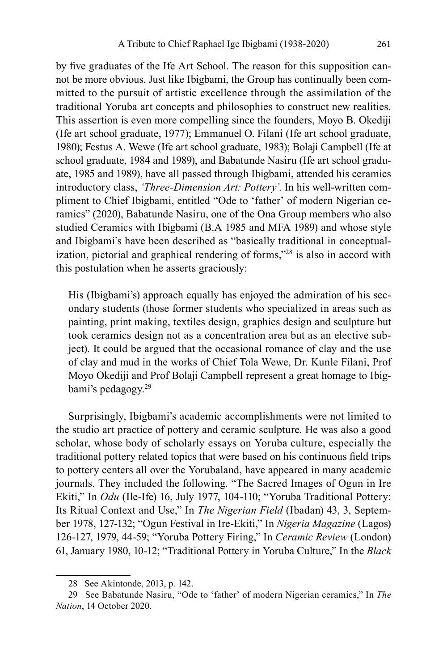by five graduates of the Ife Art School. The reason for this supposition cannot be more obvious. Just like Ibigbami, the Group has continually been committed to the pursuit of artistic excellence through the assimilation of the traditional Yoruba art concepts and philosophies to construct new realities. This assertion is even more compelling since the founders, Moyo B. Okediji (Ife art school graduate, 1977); Emmanuel O. Filani (Ife art school graduate, 1980); Festus A. Wewe (Ife art school graduate, 1983); Bolaji Campbell (Ife at school graduate, 1984 and 1989), and Babatunde Nasiru (Ife art school graduate, 1985 and 1989), have all passed through Ibigbami, attended his ceramics introductory class, *'Three-Dimension Art: Pottery'*. In his well-written compliment to Chief Ibigbami, entitled "Ode to 'father' of modern Nigerian ceramics" (2020), Babatunde Nasiru, one of the Ona Group members who also studied Ceramics with Ibigbami (B.A 1985 and MFA 1989) and whose style and Ibigbami's have been described as "basically traditional in conceptualization, pictorial and graphical rendering of forms,"<sup>28</sup> is also in accord with this postulation when he asserts graciously:

His (Ibigbami's) approach equally has enjoyed the admiration of his secondary students (those former students who specialized in areas such as painting, print making, textiles design, graphics design and sculpture but took ceramics design not as a concentration area but as an elective subject). It could be argued that the occasional romance of clay and the use of clay and mud in the works of Chief Tola Wewe, Dr. Kunle Filani, Prof Moyo Okediji and Prof Bolaji Campbell represent a great homage to Ibigbami's pedagogy.<sup>29</sup>

Surprisingly, Ibigbami's academic accomplishments were not limited to the studio art practice of pottery and ceramic sculpture. He was also a good scholar, whose body of scholarly essays on Yoruba culture, especially the traditional pottery related topics that were based on his continuous field trips to pottery centers all over the Yorubaland, have appeared in many academic journals. They included the following. "The Sacred Images of Ogun in Ire Ekiti," In *Odu* (Ile-Ife) 16, July 1977, 104-110; "Yoruba Traditional Pottery: Its Ritual Context and Use," In *The Nigerian Field* (Ibadan) 43, 3, September 1978, 127-132; "Ogun Festival in Ire-Ekiti," In *Nigeria Magazine* (Lagos) 126-127, 1979, 44-59; "Yoruba Pottery Firing," In *Ceramic Review* (London) 61, January 1980, 10-12; "Traditional Pottery in Yoruba Culture," In the *Black* 

<sup>28</sup> See Akintonde, 2013, p. 142.

<sup>29</sup> See Babatunde Nasiru, "Ode to 'father' of modern Nigerian ceramics," In *The Nation*, 14 October 2020.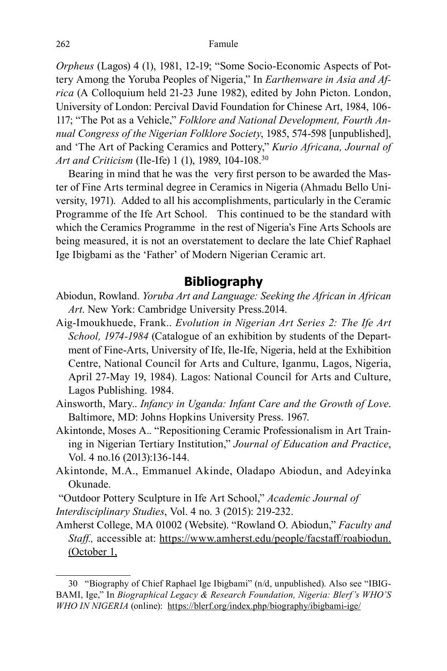*Orpheus* (Lagos) 4 (1), 1981, 12-19; "Some Socio-Economic Aspects of Pottery Among the Yoruba Peoples of Nigeria," In *Earthenware in Asia and Africa* (A Colloquium held 21-23 June 1982), edited by John Picton. London, University of London: Percival David Foundation for Chinese Art, 1984, 106- 117; "The Pot as a Vehicle," *Folklore and National Development, Fourth Annual Congress of the Nigerian Folklore Society*, 1985, 574-598 [unpublished], and 'The Art of Packing Ceramics and Pottery," *Kurio Africana, Journal of Art and Criticism* (Ile-Ife) 1 (1), 1989, 104-108.<sup>30</sup>

Bearing in mind that he was the very first person to be awarded the Master of Fine Arts terminal degree in Ceramics in Nigeria (Ahmadu Bello University, 1971). Added to all his accomplishments, particularly in the Ceramic Programme of the Ife Art School. This continued to be the standard with which the Ceramics Programme in the rest of Nigeria's Fine Arts Schools are being measured, it is not an overstatement to declare the late Chief Raphael Ige Ibigbami as the 'Father' of Modern Nigerian Ceramic art.

## **Bibliography**

- Abiodun, Rowland. *Yoruba Art and Language: Seeking the African in African Art*. New York: Cambridge University Press.2014.
- Aig-Imoukhuede, Frank.. *Evolution in Nigerian Art Series 2: The Ife Art School, 1974-1984* (Catalogue of an exhibition by students of the Department of Fine-Arts, University of Ife, Ile-Ife, Nigeria, held at the Exhibition Centre, National Council for Arts and Culture, Iganmu, Lagos, Nigeria, April 27-May 19, 1984). Lagos: National Council for Arts and Culture, Lagos Publishing. 1984.
- Ainsworth, Mary.. *Infancy in Uganda: Infant Care and the Growth of Love*. Baltimore, MD: Johns Hopkins University Press. 1967.
- Akintonde, Moses A.. "Repositioning Ceramic Professionalism in Art Training in Nigerian Tertiary Institution," *Journal of Education and Practice*, Vol. 4 no.16 (2013):136-144.
- Akintonde, M.A., Emmanuel Akinde, Oladapo Abiodun, and Adeyinka Okunade.

 "Outdoor Pottery Sculpture in Ife Art School," *Academic Journal of Interdisciplinary Studies*, Vol. 4 no. 3 (2015): 219-232.

Amherst College, MA 01002 (Website). "Rowland O. Abiodun," *Faculty and Staff.,* accessible at: https://www.amherst.edu/people/facstaff/roabiodun. (October 1,

<sup>30 &</sup>quot;Biography of Chief Raphael Ige Ibigbami" (n/d, unpublished). Also see "IBIG-BAMI, Ige," In *Biographical Legacy & Research Foundation, Nigeria: Blerf's WHO'S WHO IN NIGERIA* (online): https://blerf.org/index.php/biography/ibigbami-ige/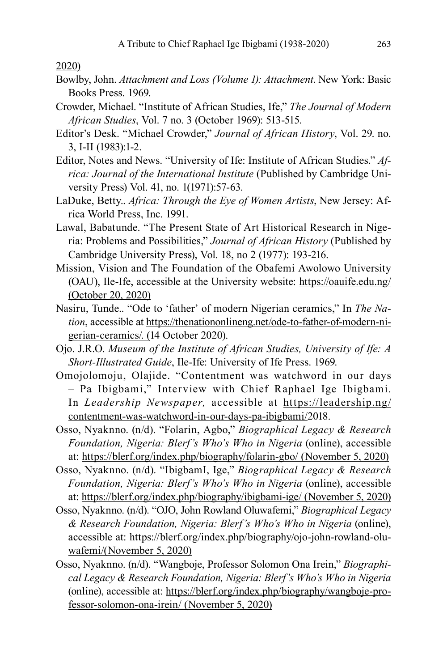2020)

- Bowlby, John. *Attachment and Loss (Volume 1): Attachment*. New York: Basic Books Press. 1969.
- Crowder, Michael. "Institute of African Studies, Ife," *The Journal of Modern African Studies*, Vol. 7 no. 3 (October 1969): 513-515.
- Editor's Desk. "Michael Crowder," *Journal of African History*, Vol. 29. no. 3, I-II (1983):1-2.
- Editor, Notes and News. "University of Ife: Institute of African Studies." *Africa: Journal of the International Institute* (Published by Cambridge University Press) Vol. 41, no. 1(1971):57-63.
- LaDuke, Betty.. *Africa: Through the Eye of Women Artists*, New Jersey: Africa World Press, Inc. 1991.
- Lawal, Babatunde. "The Present State of Art Historical Research in Nigeria: Problems and Possibilities," *Journal of African History* (Published by Cambridge University Press), Vol. 18, no 2 (1977): 193-216.
- Mission, Vision and The Foundation of the Obafemi Awolowo University (OAU), Ile-Ife, accessible at the University website: https://oauife.edu.ng/ (October 20, 2020)
- Nasiru, Tunde.. "Ode to 'father' of modern Nigerian ceramics," In *The Nation*, accessible at https://thenationonlineng.net/ode-to-father-of-modern-nigerian-ceramics/. (14 October 2020).
- Ojo. J.R.O. *Museum of the Institute of African Studies, University of Ife: A Short-Illustrated Guide*, Ile-Ife: University of Ife Press. 1969.
- Omojolomoju, Olajide. "Contentment was watchword in our days – Pa Ibigbami," Interview with Chief Raphael Ige Ibigbami. In *Leadership Newspaper,* accessible at https://leadership.ng/ contentment-was-watchword-in-our-days-pa-ibigbami/2018.
- Osso, Nyaknno. (n/d). "Folarin, Agbo," *Biographical Legacy & Research Foundation, Nigeria: Blerf's Who's Who in Nigeria* (online), accessible at: https://blerf.org/index.php/biography/folarin-gbo/ (November 5, 2020)
- Osso, Nyaknno. (n/d). "IbigbamI, Ige," *Biographical Legacy & Research Foundation, Nigeria: Blerf's Who's Who in Nigeria* (online), accessible at: https://blerf.org/index.php/biography/ibigbami-ige/ (November 5, 2020)
- Osso, Nyaknno. (n/d). "OJO, John Rowland Oluwafemi," *Biographical Legacy & Research Foundation, Nigeria: Blerf's Who's Who in Nigeria* (online), accessible at: https://blerf.org/index.php/biography/ojo-john-rowland-oluwafemi/(November 5, 2020)
- Osso, Nyaknno. (n/d). "Wangboje, Professor Solomon Ona Irein," *Biographical Legacy & Research Foundation, Nigeria: Blerf's Who's Who in Nigeria*  (online), accessible at: https://blerf.org/index.php/biography/wangboje-professor-solomon-ona-irein/ (November 5, 2020)